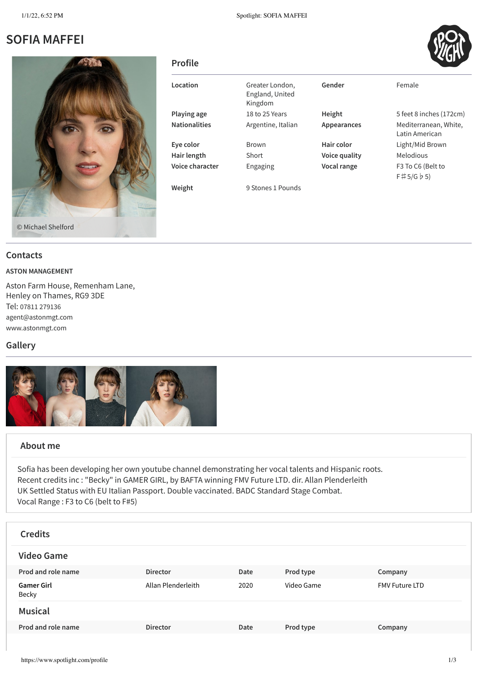# **SOFIA MAFFEI**



| <b>Profile</b>       |                                               |               | v n                                     |
|----------------------|-----------------------------------------------|---------------|-----------------------------------------|
| Location             | Greater London,<br>England, United<br>Kingdom | Gender        | Female                                  |
| Playing age          | 18 to 25 Years                                | Height        | 5 feet 8 inches (172cm)                 |
| <b>Nationalities</b> | Argentine, Italian                            | Appearances   | Mediterranean, White,<br>Latin American |
| Eye color            | <b>Brown</b>                                  | Hair color    | Light/Mid Brown                         |
| Hair length          | Short                                         | Voice quality | Melodious                               |
| Voice character      | Engaging                                      | Vocal range   | F3 To C6 (Belt to<br>F#5/G b5           |
| Weight               | 9 Stones 1 Pounds                             |               |                                         |

#### **Contacts**

#### **ASTON MANAGEMENT**

Aston Farm House, Remenham Lane, Henley on Thames, RG9 3DE Tel: 07811 [279136](tel:07811 279136) [agent@astonmgt.com](mailto:agent@astonmgt.com) [www.astonmgt.com](http://www.astonmgt.com/)

### **Gallery**



### **About me**

Sofia has been developing her own youtube channel demonstrating her vocal talents and Hispanic roots. Recent credits inc : "Becky" in GAMER GIRL, by BAFTA winning FMV Future LTD. dir. Allan Plenderleith UK Settled Status with EU Italian Passport. Double vaccinated. BADC Standard Stage Combat. Vocal Range : F3 to C6 (belt to F#5)

| <b>Credits</b>             |                    |      |            |                       |
|----------------------------|--------------------|------|------------|-----------------------|
| <b>Video Game</b>          |                    |      |            |                       |
| Prod and role name         | <b>Director</b>    | Date | Prod type  | Company               |
| <b>Gamer Girl</b><br>Becky | Allan Plenderleith | 2020 | Video Game | <b>FMV Future LTD</b> |
| <b>Musical</b>             |                    |      |            |                       |
| Prod and role name         | <b>Director</b>    | Date | Prod type  | Company               |
|                            |                    |      |            |                       |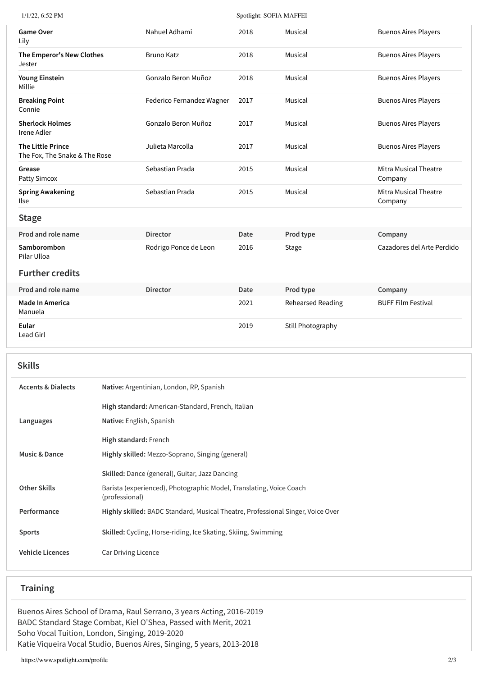| 1/1/22, 6:52 PM                                           |                           | Spotlight: SOFIA MAFFEI |                          |                                         |
|-----------------------------------------------------------|---------------------------|-------------------------|--------------------------|-----------------------------------------|
| <b>Game Over</b><br>Lily                                  | Nahuel Adhami             | 2018                    | Musical                  | <b>Buenos Aires Players</b>             |
| The Emperor's New Clothes<br>Jester                       | <b>Bruno Katz</b>         | 2018                    | Musical                  | <b>Buenos Aires Players</b>             |
| <b>Young Einstein</b><br>Millie                           | Gonzalo Beron Muñoz       | 2018                    | Musical                  | <b>Buenos Aires Players</b>             |
| <b>Breaking Point</b><br>Connie                           | Federico Fernandez Wagner | 2017                    | Musical                  | <b>Buenos Aires Players</b>             |
| <b>Sherlock Holmes</b><br>Irene Adler                     | Gonzalo Beron Muñoz       | 2017                    | Musical                  | <b>Buenos Aires Players</b>             |
| <b>The Little Prince</b><br>The Fox, The Snake & The Rose | Julieta Marcolla          | 2017                    | Musical                  | <b>Buenos Aires Players</b>             |
| Grease<br>Patty Simcox                                    | Sebastian Prada           | 2015                    | Musical                  | <b>Mitra Musical Theatre</b><br>Company |
| <b>Spring Awakening</b><br>Ilse                           | Sebastian Prada           | 2015                    | Musical                  | <b>Mitra Musical Theatre</b><br>Company |
| <b>Stage</b>                                              |                           |                         |                          |                                         |
| Prod and role name                                        | <b>Director</b>           | Date                    | Prod type                | Company                                 |
| Samborombon<br>Pilar Ulloa                                | Rodrigo Ponce de Leon     | 2016                    | Stage                    | Cazadores del Arte Perdido              |
| <b>Further credits</b>                                    |                           |                         |                          |                                         |
| Prod and role name                                        | <b>Director</b>           | <b>Date</b>             | Prod type                | Company                                 |
| <b>Made In America</b><br>Manuela                         |                           | 2021                    | <b>Rehearsed Reading</b> | <b>BUFF Film Festival</b>               |
| Eular<br>Lead Girl                                        |                           | 2019                    | Still Photography        |                                         |
|                                                           |                           |                         |                          |                                         |

| <b>Skills</b>                 |                                                                                       |
|-------------------------------|---------------------------------------------------------------------------------------|
| <b>Accents &amp; Dialects</b> | Native: Argentinian, London, RP, Spanish                                              |
|                               | High standard: American-Standard, French, Italian                                     |
| Languages                     | Native: English, Spanish                                                              |
|                               | High standard: French                                                                 |
| <b>Music &amp; Dance</b>      | Highly skilled: Mezzo-Soprano, Singing (general)                                      |
|                               | Skilled: Dance (general), Guitar, Jazz Dancing                                        |
| <b>Other Skills</b>           | Barista (experienced), Photographic Model, Translating, Voice Coach<br>(professional) |
| Performance                   | Highly skilled: BADC Standard, Musical Theatre, Professional Singer, Voice Over       |
| <b>Sports</b>                 | Skilled: Cycling, Horse-riding, Ice Skating, Skiing, Swimming                         |
| <b>Vehicle Licences</b>       | Car Driving Licence                                                                   |
|                               |                                                                                       |

## **Training**

Buenos Aires School of Drama, Raul Serrano, 3 years Acting, 2016-2019 BADC Standard Stage Combat, Kiel O'Shea, Passed with Merit, 2021 Soho Vocal Tuition, London, Singing, 2019-2020 Katie Viqueira Vocal Studio, Buenos Aires, Singing, 5 years, 2013-2018